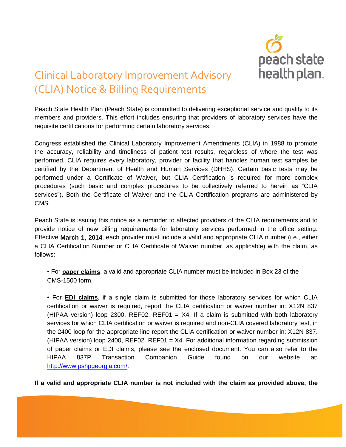

## Clinical Laboratory Improvement Advisory (CLIA) Notice & Billing Requirements

Peach State Health Plan (Peach State) is committed to delivering exceptional service and quality to its members and providers. This effort includes ensuring that providers of laboratory services have the requisite certifications for performing certain laboratory services.

Congress established the Clinical Laboratory Improvement Amendments (CLIA) in 1988 to promote the accuracy, reliability and timeliness of patient test results, regardless of where the test was performed. CLIA requires every laboratory, provider or facility that handles human test samples be certified by the Department of Health and Human Services (DHHS). Certain basic tests may be performed under a Certificate of Waiver, but CLIA Certification is required for more complex procedures (such basic and complex procedures to be collectively referred to herein as "CLIA services"). Both the Certificate of Waiver and the CLIA Certification programs are administered by CMS.

Peach State is issuing this notice as a reminder to affected providers of the CLIA requirements and to provide notice of new billing requirements for laboratory services performed in the office setting. Effective **March 1, 2014**, each provider must include a valid and appropriate CLIA number (i.e., either a CLIA Certification Number or CLIA Certificate of Waiver number, as applicable) with the claim, as follows:

• For **paper claims**, a valid and appropriate CLIA number must be included in Box 23 of the CMS-1500 form.

• For **EDI claims**, if a single claim is submitted for those laboratory services for which CLIA certification or waiver is required, report the CLIA certification or waiver number in: X12N 837 (HIPAA version) loop 2300, REF02. REF01 =  $X4$ . If a claim is submitted with both laboratory services for which CLIA certification or waiver is required and non-CLIA covered laboratory test, in the 2400 loop for the appropriate line report the CLIA certification or waiver number in: X12N 837. (HIPAA version) loop 2400, REF02. REF01 =  $X4$ . For additional information regarding submission of paper claims or EDI claims, please see the enclosed document. You can also refer to the HIPAA 837P Transaction Companion Guide found on our website at: [http://www.pshpgeorgia.com/.](http://www.pshpgeorgia.com/)

**If a valid and appropriate CLIA number is not included with the claim as provided above, the**